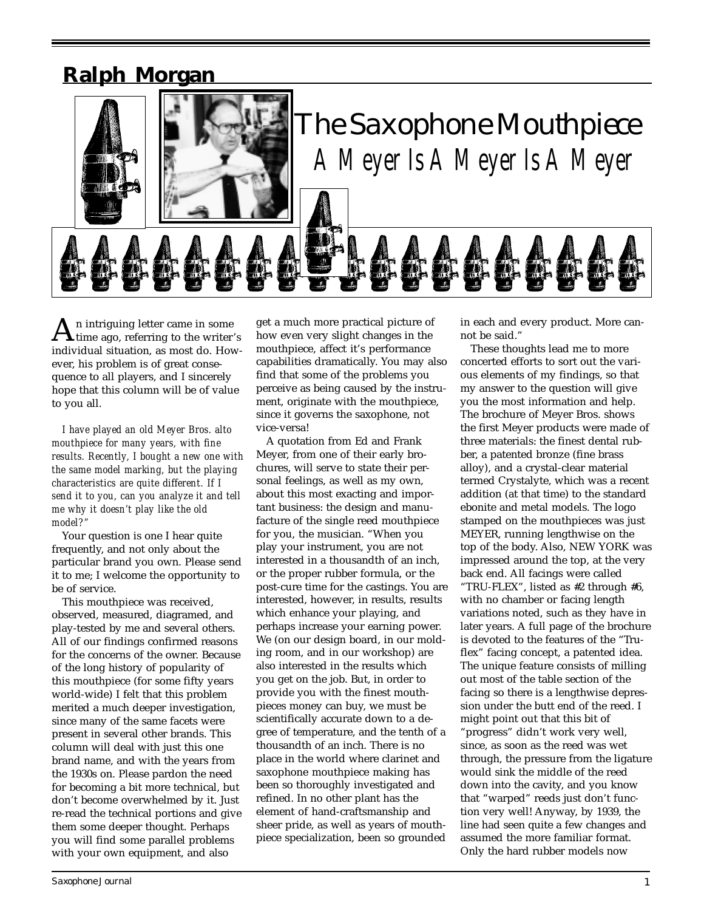# **Ralph Morgan**



 $\sum_{\text{time ago, referring to the writer's}}$ individual situation, as most do. However, his problem is of great consequence to all players, and I sincerely hope that this column will be of value to you all.

*I have played an old Meyer Bros. alto mouthpiece for many years, with fine results. Recently, I bought a new one with the same model marking, but the playing characteristics are quite different. If I send it to you, can you analyze it and tell me why it doesn't play like the old model?"*

Your question is one I hear quite frequently, and not only about the particular brand you own. Please send it to me; I welcome the opportunity to be of service.

This mouthpiece was received, observed, measured, diagramed, and play-tested by me and several others. All of our findings confirmed reasons for the concerns of the owner. Because of the long history of popularity of this mouthpiece (for some fifty years world-wide) I felt that this problem merited a much deeper investigation, since many of the same facets were present in several other brands. This column will deal with just this one brand name, and with the years from the 1930s on. Please pardon the need for becoming a bit more technical, but don't become overwhelmed by it. Just re-read the technical portions and give them some deeper thought. Perhaps you will find some parallel problems with your own equipment, and also

get a much more practical picture of how even very slight changes in the mouthpiece, affect it's performance capabilities dramatically. You may also find that some of the problems you perceive as being caused by the instrument, originate with the mouthpiece, since it governs the saxophone, not vice-versa!

A quotation from Ed and Frank Meyer, from one of their early brochures, will serve to state their personal feelings, as well as my own, about this most exacting and important business: the design and manufacture of the single reed mouthpiece for you, the musician. "When you play your instrument, you are not interested in a thousandth of an inch, or the proper rubber formula, or the post-cure time for the castings. You are interested, however, in results, results which enhance your playing, and perhaps increase your earning power. We (on our design board, in our molding room, and in our workshop) are also interested in the results which you get on the job. But, in order to provide you with the finest mouthpieces money can buy, we must be scientifically accurate down to a degree of temperature, and the tenth of a thousandth of an inch. There is no place in the world where clarinet and saxophone mouthpiece making has been so thoroughly investigated and refined. In no other plant has the element of hand-craftsmanship and sheer pride, as well as years of mouthpiece specialization, been so grounded

in each and every product. More cannot be said."

These thoughts lead me to more concerted efforts to sort out the various elements of my findings, so that my answer to the question will give you the most information and help. The brochure of Meyer Bros. shows the first Meyer products were made of three materials: the finest dental rubber, a patented bronze (fine brass alloy), and a crystal-clear material termed Crystalyte, which was a recent addition (at that time) to the standard ebonite and metal models. The logo stamped on the mouthpieces was just MEYER, running lengthwise on the top of the body. Also, NEW YORK was impressed around the top, at the very back end. All facings were called "TRU-FLEX", listed as #2 through #6, with no chamber or facing length variations noted, such as they have in later years. A full page of the brochure is devoted to the features of the "Truflex" facing concept, a patented idea. The unique feature consists of milling out most of the table section of the facing so there is a lengthwise depression under the butt end of the reed. I might point out that this bit of "progress" didn't work very well, since, as soon as the reed was wet through, the pressure from the ligature would sink the middle of the reed down into the cavity, and you know that "warped" reeds just don't function very well! Anyway, by 1939, the line had seen quite a few changes and assumed the more familiar format. Only the hard rubber models now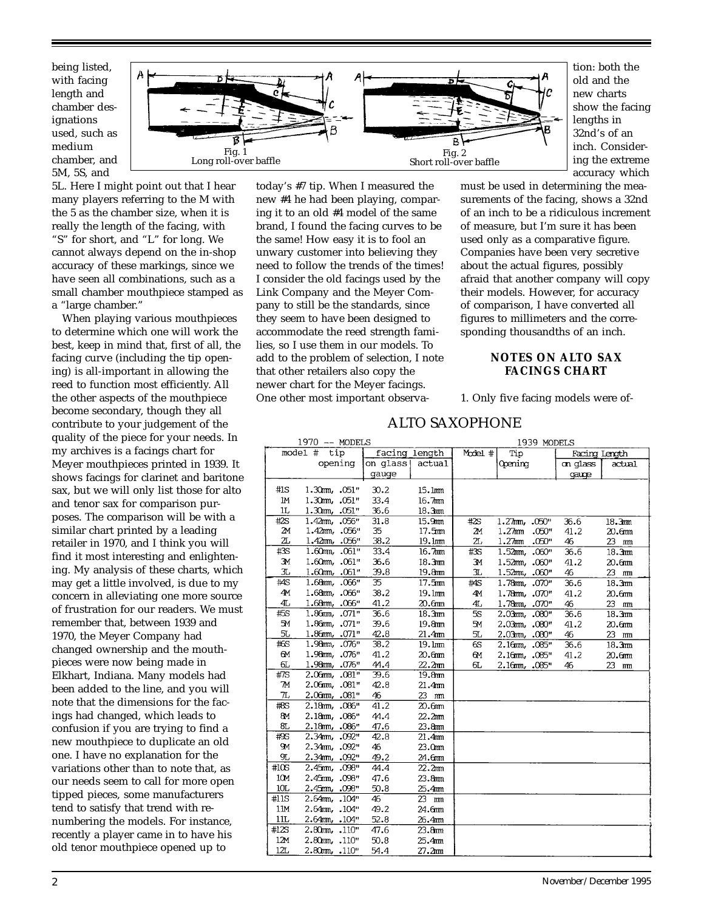being listed, with facing length and chamber designations used, such as medium chamber, and 5M, 5S, and



tion: both the old and the new charts show the facing lengths in 32nd's of an inch. Considering the extreme accuracy which

5L. Here I might point out that I hear many players referring to the M with the 5 as the chamber size, when it is really the length of the facing, with "S" for short, and "L" for long. We cannot always depend on the in-shop accuracy of these markings, since we have seen all combinations, such as a small chamber mouthpiece stamped as a "large chamber."

When playing various mouthpieces to determine which one will work the best, keep in mind that, first of all, the facing curve (including the tip opening) is all-important in allowing the reed to function most efficiently. All the other aspects of the mouthpiece become secondary, though they all contribute to your judgement of the quality of the piece for your needs. In my archives is a facings chart for Meyer mouthpieces printed in 1939. It shows facings for clarinet and baritone sax, but we will only list those for alto and tenor sax for comparison purposes. The comparison will be with a similar chart printed by a leading retailer in 1970, and I think you will find it most interesting and enlightening. My analysis of these charts, which may get a little involved, is due to my concern in alleviating one more source of frustration for our readers. We must remember that, between 1939 and 1970, the Meyer Company had changed ownership and the mouthpieces were now being made in Elkhart, Indiana. Many models had been added to the line, and you will note that the dimensions for the facings had changed, which leads to confusion if you are trying to find a new mouthpiece to duplicate an old one. I have no explanation for the variations other than to note that, as our needs seem to call for more open tipped pieces, some manufacturers tend to satisfy that trend with renumbering the models. For instance, recently a player came in to have his old tenor mouthpiece opened up to

today's #7 tip. When I measured the new #4 he had been playing, comparing it to an old #4 model of the same brand, I found the facing curves to be the same! How easy it is to fool an unwary customer into believing they need to follow the trends of the times! I consider the old facings used by the Link Company and the Meyer Company to still be the standards, since they seem to have been designed to accommodate the reed strength families, so I use them in our models. To add to the problem of selection, I note that other retailers also copy the newer chart for the Meyer facings. One other most important observamust be used in determining the measurements of the facing, shows a 32nd of an inch to be a ridiculous increment of measure, but I'm sure it has been used only as a comparative figure. Companies have been very secretive about the actual figures, possibly afraid that another company will copy their models. However, for accuracy of comparison, I have converted all figures to millimeters and the corresponding thousandths of an inch.

# **NOTES ON ALTO SAX FACINGS CHART**

1. Only five facing models were of-

# ALTO SAXOPHONE

|           | 1970 -- MODELS      |               |                    | 1939 MODELS |                                |               |                    |  |  |  |
|-----------|---------------------|---------------|--------------------|-------------|--------------------------------|---------------|--------------------|--|--|--|
|           | model #<br>tip      | facing length |                    | Model #     | Tip                            | Facing Length |                    |  |  |  |
| opening   |                     | on qlass      | actual             |             | Opening                        | on alass      | actual             |  |  |  |
|           |                     | gauge         |                    |             |                                | qauge         |                    |  |  |  |
| #1S       | 1.30m, .051"        | 30.2          | 15.1mm             |             |                                |               |                    |  |  |  |
| ΙM        | 1.30mm. .051"       | 33.4          | 16.7mm             |             |                                |               |                    |  |  |  |
| 1L        | 1.30mm. .051"       | 36.6          | 18.3 <sub>nm</sub> |             |                                |               |                    |  |  |  |
| #2S       | 1.42mm. 056"        | 31.8          | 15.9mm             | #2S         | 1.27mm, .050"                  | 36.6          | 18.3mm             |  |  |  |
| 21        | $1.42$ $m, .056$ "  | 35            | 17.5 <sub>mm</sub> | 2м          | $1.27$ mm<br>.050"             | 41.2          | 20.6mm             |  |  |  |
| 2L        | 1.42mm, .056"       | 38.2          | 19.1mm             | ΖL          | $1.27$ mm<br>.050"             | 46            | 23 mm              |  |  |  |
| #3S       | $1.60m, .061$ "     | 33.4          | 16.7mm             | $\#3S$      | $1.52$ mm, $.060$ <sup>n</sup> | 36.6          | 18.3 <sub>nm</sub> |  |  |  |
| 3M        | 1.60mm, .061"       | 36.6          | 18.3 <sub>nm</sub> | ЭМ          | 1.52mm, .060"                  | 41.2          | 20.6mm             |  |  |  |
| 3L        | $1.60$ m, $.061$ "  | 39.8          | 19.8mm             | <b>JL</b>   | 1.52mm, .060"                  | 46            | 23 mm              |  |  |  |
| #AS       | 1.68mm, .066"       | 35            | 17.5 <sub>mm</sub> | #S          | 1.78mm, .070"                  | 36.6          | 18.3 <sub>mm</sub> |  |  |  |
| 41        | 1.68mm, .066"       | 38.2          | 19.1mm             | 4M          | 1.78mm. .070"                  | 41.2          | 20.6mm             |  |  |  |
| 4L        | 1.68mm, .066"       | 41.2          | 20.6mm             | 4L          | 1.78mm. .070"                  | 46            | $23$ mm            |  |  |  |
| #5S       | 1.86mm, .071"       | 36.6          | 18.3 <sub>nm</sub> | 5S          | 2.03mm, .080"                  | 36.6          | 18.3 <sub>nm</sub> |  |  |  |
| 51        | 1.86mm, .071"       | 39.6          | 19.8mm             | 5M          | 2.03mm, .080"                  | 41.2          | 20.6mm             |  |  |  |
| 5L        | 1.86mm, .071"       | 42.8          | 21.4 <sub>mm</sub> | SL.         | 2.03mm, .080"                  | 46            | 23 mm              |  |  |  |
| #S        | 1.98mm, .076"       | 38.2          | 19.1mm             | 6S          | 2.16mm, .085"                  | 36.6          | 18.3 <sub>nm</sub> |  |  |  |
| 6M        | 1.98mm, .076"       | 41.2          | 20.6mm             | 6M          | 2.16mm, .085"                  | 41.2          | 20.6mm             |  |  |  |
| ௳         | 1.98mm, .076"       | 44.4          | 22.2 <sub>mm</sub> | 6L          | 2.16mm, .085"                  | 46            | 23 mm              |  |  |  |
| #7S       | 2.06mm, .081"       | 39.6          | 19.8mm             |             |                                |               |                    |  |  |  |
| M         | 2.06mm, .081"       | 42.8          | 21.4mm             |             |                                |               |                    |  |  |  |
| 71        | 2.06mm, .081"       | 46            | 23 mm              |             |                                |               |                    |  |  |  |
| #8S       | 2.18mm, .086"       | 41.2          | 20.6mm             |             |                                |               |                    |  |  |  |
| 8M        | 2.18mm. .086"       | 44.4          | 22.2 <sub>nm</sub> |             |                                |               |                    |  |  |  |
| 8L        | 2.18mm, .086"       | 47.6          | 23.8mm             |             |                                |               |                    |  |  |  |
| $\#9S$    | 2.34mm, .092"       | 42.8          | 21.4mm             |             |                                |               |                    |  |  |  |
| <b>9M</b> | 2.34mm, .092"       | 46            | 23.0mm             |             |                                |               |                    |  |  |  |
| ЯJ,       | 2.34mm, .092"       | 49.2          | 24.6mm             |             |                                |               |                    |  |  |  |
| #10S      | 2.45mm, .098"       | 44.4          | 22.2 <sub>mm</sub> |             |                                |               |                    |  |  |  |
| 10M       | 2.45mm. .098"       | 47.6          | 23.8mm             |             |                                |               |                    |  |  |  |
| 10L       | 2.45mm, .098"       | 50.8          | 25.4mm             |             |                                |               |                    |  |  |  |
| #11S      | $2.64$ mm, $.104$ " | 46            | 23 mm              |             |                                |               |                    |  |  |  |
| 11M       | 2.64mm, .104"       | 49.2          | 24.6mm             |             |                                |               |                    |  |  |  |
| 11L       | 2.64mm, .104"       | 52.8          | 26.4mm             |             |                                |               |                    |  |  |  |
| #12S      | 2.80m, .110"        | 47.6          | 23.8mm             |             |                                |               |                    |  |  |  |
| 12M       | $2.80$ m, $.110"$   | 50.8          | 25.4mm             |             |                                |               |                    |  |  |  |
| 12L       | $2.80m$ , $.110"$   | 54.4          | 27.2 <sub>mm</sub> |             |                                |               |                    |  |  |  |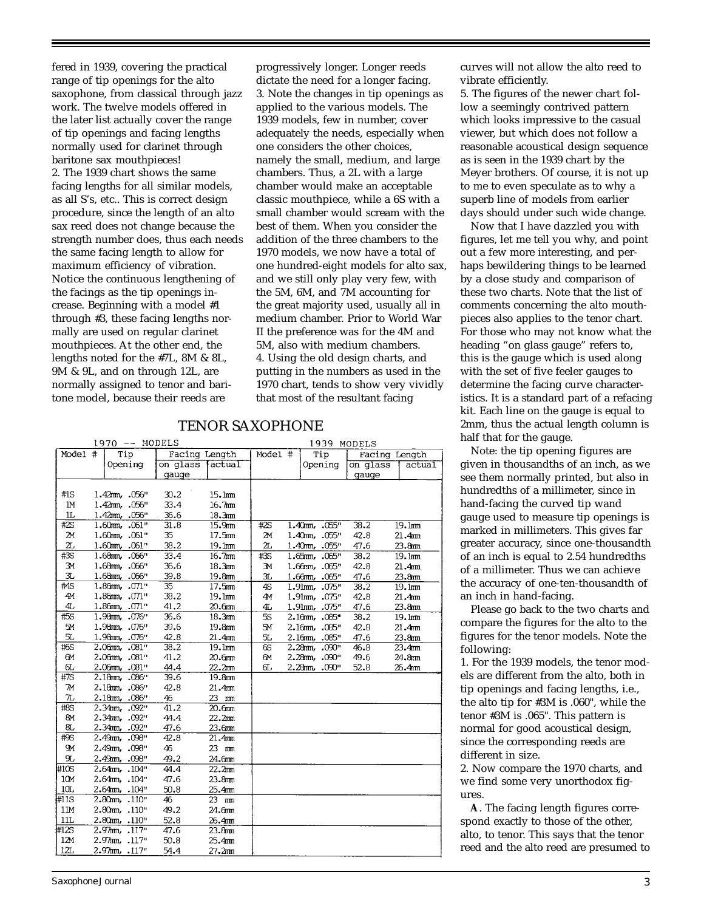fered in 1939, covering the practical range of tip openings for the alto saxophone, from classical through jazz work. The twelve models offered in the later list actually cover the range of tip openings and facing lengths normally used for clarinet through baritone sax mouthpieces! 2. The 1939 chart shows the same facing lengths for all similar models, as all S's, etc.. This is correct design procedure, since the length of an alto sax reed does not change because the strength number does, thus each needs the same facing length to allow for maximum efficiency of vibration. Notice the continuous lengthening of the facings as the tip openings increase. Beginning with a model #1 through #3, these facing lengths normally are used on regular clarinet mouthpieces. At the other end, the lengths noted for the #7L, 8M & 8L, 9M & 9L, and on through 12L, are normally assigned to tenor and baritone model, because their reeds are

progressively longer. Longer reeds dictate the need for a longer facing. 3. Note the changes in tip openings as applied to the various models. The 1939 models, few in number, cover adequately the needs, especially when one considers the other choices, namely the small, medium, and large chambers. Thus, a 2L with a large chamber would make an acceptable classic mouthpiece, while a 6S with a small chamber would scream with the best of them. When you consider the addition of the three chambers to the 1970 models, we now have a total of one hundred-eight models for alto sax, and we still only play very few, with the 5M, 6M, and 7M accounting for the great majority used, usually all in medium chamber. Prior to World War II the preference was for the 4M and 5M, also with medium chambers. 4. Using the old design charts, and putting in the numbers as used in the 1970 chart, tends to show very vividly that most of the resultant facing

| Model #<br>Model #<br>Tip<br>Facing Length<br>Tip<br>Facing Length<br>Opening<br>on glass<br><i><u><b>Actual</b></u></i><br>Opening<br>on glass<br>qauqe<br>gauge<br>#1S<br>$1.42$ m, $.056$ "<br>30.2<br>15.1mm<br>1M<br>1.42mm, .056"<br>33.4<br>16.7 <sub>mm</sub><br>IL.<br>1.42mm, .056"<br>36.6<br>18.3mm<br>#2S<br>$1.60$ m, $.061"$<br>31.8<br>15.9 <sub>nm</sub><br>#2S<br>$1.40$ m, $.055"$<br>38.2<br>19.1mm<br>24<br>35<br>$1.60$ m, .061"<br>17.5 <sub>mm</sub><br>2м<br>42.8<br>21.4 <sub>mm</sub><br>1.40m, .055"<br>2L<br>38.2<br>2L<br>$1.60$ mm, .061"<br>19.1mm<br>1.40mm, .055"<br>47.6<br>23.8mm<br>#3S<br>1.68mm, .066"<br>33.4<br>16.7mm<br>#3S<br>38.2<br>19.1mm<br>$1.65$ m, $.065$ "<br>36.6<br>18.3mm<br>Зм<br>1.68mm, .066"<br>ЭМ<br>1.66mm, .065"<br>42.8<br>21.4mm<br>3L<br>$1.68$ mm, $.066"$<br>39.8<br>19.8mm<br>3L<br>1.66mm, .065"<br>47.6<br>23.8mm<br>#4S<br>1.86mm, .071"<br>17.5mm<br>35<br>4S<br>38.2<br>1.91mm, .075"<br>19.1mm<br>4M<br>38.2<br>1.86mm, .071"<br>19.1mm<br>4M<br>1.91mm, .075"<br>42.8<br>21.4mm<br>4L<br>1.86mm, .071"<br>41.2<br>20.6mm<br>47.6<br>23.8mm<br>4L<br>1.91mm, .075"<br>1.98mm, .076"<br>36.6<br>#5S<br>18.3mm<br><b>5S</b><br>38.2<br>2.16mm, .085*<br>19.1mm<br>5M<br>1.98mm, .076"<br>39.6<br>19.8mm<br>5M<br>42.8<br>21.4mm<br>$2.16$ m, $.085"$<br>5L<br>1.98mm, .076"<br>42.8<br>21.4 <sub>mm</sub><br>5L<br>2.16mm, .085"<br>23.8mm<br>47.6<br>#6S<br>19.1mm<br>$2.06$ m, $.081"$<br>38.2<br>6S<br>2.28mm, .090"<br>46.8<br>23.4mm<br>6M<br>41.2<br>$2.06$ m, $.081"$<br>20.6mm<br>6M<br>2.28mm, .090"<br>49.6<br>24.8mm<br>6L<br>2.06mm, .081"<br>44.4<br>22.2 <sub>mm</sub><br>2.28mm, .090"<br>52.8<br>௳<br>26.4mm<br>#7S<br>2.18mm, .086"<br>39.6<br>19.8mm<br>7M<br>2.18mm, .086"<br>42.8<br>21.4mm<br>$\pi$<br>2.18mm, .086"<br>46<br>23 mm<br>41.2<br>$\#8S$<br>2.34mm, .092"<br>20.6 <sub>mm</sub><br>44.4<br>8M<br>2.34mm, .092"<br>22.2 <sub>nm</sub><br>8L<br>2.34mm, .092"<br>47.6<br>23.6mm<br>#9S<br>2.49mm, .098"<br>42.8<br>21.4mm<br>9 <sub>M</sub><br>23 mm<br>2.49mm, .098"<br>46<br><b>JL</b><br>49.2<br>2.49mm, .098"<br>24.6mm<br>#10S<br>44.4<br>22.2 <sub>nm</sub><br>2.64mm. . 104"<br>10M<br>47.6<br>2.64mm. . 104"<br>23.8mm<br>10L<br>2.64mm, .104"<br>50.8<br>25.4mm<br>2.80mm, .110" |      | $1970$ -- MODELS |  |  |    |       | 1939 MODELS |  |  |  |  |  |        |  |
|---------------------------------------------------------------------------------------------------------------------------------------------------------------------------------------------------------------------------------------------------------------------------------------------------------------------------------------------------------------------------------------------------------------------------------------------------------------------------------------------------------------------------------------------------------------------------------------------------------------------------------------------------------------------------------------------------------------------------------------------------------------------------------------------------------------------------------------------------------------------------------------------------------------------------------------------------------------------------------------------------------------------------------------------------------------------------------------------------------------------------------------------------------------------------------------------------------------------------------------------------------------------------------------------------------------------------------------------------------------------------------------------------------------------------------------------------------------------------------------------------------------------------------------------------------------------------------------------------------------------------------------------------------------------------------------------------------------------------------------------------------------------------------------------------------------------------------------------------------------------------------------------------------------------------------------------------------------------------------------------------------------------------------------------------------------------------------------------------------------------------------------------------------------------------------------------------------------------------------------------------------------------------------------------------|------|------------------|--|--|----|-------|-------------|--|--|--|--|--|--------|--|
|                                                                                                                                                                                                                                                                                                                                                                                                                                                                                                                                                                                                                                                                                                                                                                                                                                                                                                                                                                                                                                                                                                                                                                                                                                                                                                                                                                                                                                                                                                                                                                                                                                                                                                                                                                                                                                                                                                                                                                                                                                                                                                                                                                                                                                                                                                   |      |                  |  |  |    |       |             |  |  |  |  |  |        |  |
|                                                                                                                                                                                                                                                                                                                                                                                                                                                                                                                                                                                                                                                                                                                                                                                                                                                                                                                                                                                                                                                                                                                                                                                                                                                                                                                                                                                                                                                                                                                                                                                                                                                                                                                                                                                                                                                                                                                                                                                                                                                                                                                                                                                                                                                                                                   |      |                  |  |  |    |       |             |  |  |  |  |  | actual |  |
|                                                                                                                                                                                                                                                                                                                                                                                                                                                                                                                                                                                                                                                                                                                                                                                                                                                                                                                                                                                                                                                                                                                                                                                                                                                                                                                                                                                                                                                                                                                                                                                                                                                                                                                                                                                                                                                                                                                                                                                                                                                                                                                                                                                                                                                                                                   |      |                  |  |  |    |       |             |  |  |  |  |  |        |  |
|                                                                                                                                                                                                                                                                                                                                                                                                                                                                                                                                                                                                                                                                                                                                                                                                                                                                                                                                                                                                                                                                                                                                                                                                                                                                                                                                                                                                                                                                                                                                                                                                                                                                                                                                                                                                                                                                                                                                                                                                                                                                                                                                                                                                                                                                                                   |      |                  |  |  |    |       |             |  |  |  |  |  |        |  |
|                                                                                                                                                                                                                                                                                                                                                                                                                                                                                                                                                                                                                                                                                                                                                                                                                                                                                                                                                                                                                                                                                                                                                                                                                                                                                                                                                                                                                                                                                                                                                                                                                                                                                                                                                                                                                                                                                                                                                                                                                                                                                                                                                                                                                                                                                                   |      |                  |  |  |    |       |             |  |  |  |  |  |        |  |
|                                                                                                                                                                                                                                                                                                                                                                                                                                                                                                                                                                                                                                                                                                                                                                                                                                                                                                                                                                                                                                                                                                                                                                                                                                                                                                                                                                                                                                                                                                                                                                                                                                                                                                                                                                                                                                                                                                                                                                                                                                                                                                                                                                                                                                                                                                   |      |                  |  |  |    |       |             |  |  |  |  |  |        |  |
|                                                                                                                                                                                                                                                                                                                                                                                                                                                                                                                                                                                                                                                                                                                                                                                                                                                                                                                                                                                                                                                                                                                                                                                                                                                                                                                                                                                                                                                                                                                                                                                                                                                                                                                                                                                                                                                                                                                                                                                                                                                                                                                                                                                                                                                                                                   |      |                  |  |  |    |       |             |  |  |  |  |  |        |  |
|                                                                                                                                                                                                                                                                                                                                                                                                                                                                                                                                                                                                                                                                                                                                                                                                                                                                                                                                                                                                                                                                                                                                                                                                                                                                                                                                                                                                                                                                                                                                                                                                                                                                                                                                                                                                                                                                                                                                                                                                                                                                                                                                                                                                                                                                                                   |      |                  |  |  |    |       |             |  |  |  |  |  |        |  |
|                                                                                                                                                                                                                                                                                                                                                                                                                                                                                                                                                                                                                                                                                                                                                                                                                                                                                                                                                                                                                                                                                                                                                                                                                                                                                                                                                                                                                                                                                                                                                                                                                                                                                                                                                                                                                                                                                                                                                                                                                                                                                                                                                                                                                                                                                                   |      |                  |  |  |    |       |             |  |  |  |  |  |        |  |
|                                                                                                                                                                                                                                                                                                                                                                                                                                                                                                                                                                                                                                                                                                                                                                                                                                                                                                                                                                                                                                                                                                                                                                                                                                                                                                                                                                                                                                                                                                                                                                                                                                                                                                                                                                                                                                                                                                                                                                                                                                                                                                                                                                                                                                                                                                   |      |                  |  |  |    |       |             |  |  |  |  |  |        |  |
|                                                                                                                                                                                                                                                                                                                                                                                                                                                                                                                                                                                                                                                                                                                                                                                                                                                                                                                                                                                                                                                                                                                                                                                                                                                                                                                                                                                                                                                                                                                                                                                                                                                                                                                                                                                                                                                                                                                                                                                                                                                                                                                                                                                                                                                                                                   |      |                  |  |  |    |       |             |  |  |  |  |  |        |  |
|                                                                                                                                                                                                                                                                                                                                                                                                                                                                                                                                                                                                                                                                                                                                                                                                                                                                                                                                                                                                                                                                                                                                                                                                                                                                                                                                                                                                                                                                                                                                                                                                                                                                                                                                                                                                                                                                                                                                                                                                                                                                                                                                                                                                                                                                                                   |      |                  |  |  |    |       |             |  |  |  |  |  |        |  |
|                                                                                                                                                                                                                                                                                                                                                                                                                                                                                                                                                                                                                                                                                                                                                                                                                                                                                                                                                                                                                                                                                                                                                                                                                                                                                                                                                                                                                                                                                                                                                                                                                                                                                                                                                                                                                                                                                                                                                                                                                                                                                                                                                                                                                                                                                                   |      |                  |  |  |    |       |             |  |  |  |  |  |        |  |
|                                                                                                                                                                                                                                                                                                                                                                                                                                                                                                                                                                                                                                                                                                                                                                                                                                                                                                                                                                                                                                                                                                                                                                                                                                                                                                                                                                                                                                                                                                                                                                                                                                                                                                                                                                                                                                                                                                                                                                                                                                                                                                                                                                                                                                                                                                   |      |                  |  |  |    |       |             |  |  |  |  |  |        |  |
|                                                                                                                                                                                                                                                                                                                                                                                                                                                                                                                                                                                                                                                                                                                                                                                                                                                                                                                                                                                                                                                                                                                                                                                                                                                                                                                                                                                                                                                                                                                                                                                                                                                                                                                                                                                                                                                                                                                                                                                                                                                                                                                                                                                                                                                                                                   |      |                  |  |  |    |       |             |  |  |  |  |  |        |  |
|                                                                                                                                                                                                                                                                                                                                                                                                                                                                                                                                                                                                                                                                                                                                                                                                                                                                                                                                                                                                                                                                                                                                                                                                                                                                                                                                                                                                                                                                                                                                                                                                                                                                                                                                                                                                                                                                                                                                                                                                                                                                                                                                                                                                                                                                                                   |      |                  |  |  |    |       |             |  |  |  |  |  |        |  |
|                                                                                                                                                                                                                                                                                                                                                                                                                                                                                                                                                                                                                                                                                                                                                                                                                                                                                                                                                                                                                                                                                                                                                                                                                                                                                                                                                                                                                                                                                                                                                                                                                                                                                                                                                                                                                                                                                                                                                                                                                                                                                                                                                                                                                                                                                                   |      |                  |  |  |    |       |             |  |  |  |  |  |        |  |
|                                                                                                                                                                                                                                                                                                                                                                                                                                                                                                                                                                                                                                                                                                                                                                                                                                                                                                                                                                                                                                                                                                                                                                                                                                                                                                                                                                                                                                                                                                                                                                                                                                                                                                                                                                                                                                                                                                                                                                                                                                                                                                                                                                                                                                                                                                   |      |                  |  |  |    |       |             |  |  |  |  |  |        |  |
|                                                                                                                                                                                                                                                                                                                                                                                                                                                                                                                                                                                                                                                                                                                                                                                                                                                                                                                                                                                                                                                                                                                                                                                                                                                                                                                                                                                                                                                                                                                                                                                                                                                                                                                                                                                                                                                                                                                                                                                                                                                                                                                                                                                                                                                                                                   |      |                  |  |  |    |       |             |  |  |  |  |  |        |  |
|                                                                                                                                                                                                                                                                                                                                                                                                                                                                                                                                                                                                                                                                                                                                                                                                                                                                                                                                                                                                                                                                                                                                                                                                                                                                                                                                                                                                                                                                                                                                                                                                                                                                                                                                                                                                                                                                                                                                                                                                                                                                                                                                                                                                                                                                                                   |      |                  |  |  |    |       |             |  |  |  |  |  |        |  |
|                                                                                                                                                                                                                                                                                                                                                                                                                                                                                                                                                                                                                                                                                                                                                                                                                                                                                                                                                                                                                                                                                                                                                                                                                                                                                                                                                                                                                                                                                                                                                                                                                                                                                                                                                                                                                                                                                                                                                                                                                                                                                                                                                                                                                                                                                                   |      |                  |  |  |    |       |             |  |  |  |  |  |        |  |
|                                                                                                                                                                                                                                                                                                                                                                                                                                                                                                                                                                                                                                                                                                                                                                                                                                                                                                                                                                                                                                                                                                                                                                                                                                                                                                                                                                                                                                                                                                                                                                                                                                                                                                                                                                                                                                                                                                                                                                                                                                                                                                                                                                                                                                                                                                   |      |                  |  |  |    |       |             |  |  |  |  |  |        |  |
|                                                                                                                                                                                                                                                                                                                                                                                                                                                                                                                                                                                                                                                                                                                                                                                                                                                                                                                                                                                                                                                                                                                                                                                                                                                                                                                                                                                                                                                                                                                                                                                                                                                                                                                                                                                                                                                                                                                                                                                                                                                                                                                                                                                                                                                                                                   |      |                  |  |  |    |       |             |  |  |  |  |  |        |  |
|                                                                                                                                                                                                                                                                                                                                                                                                                                                                                                                                                                                                                                                                                                                                                                                                                                                                                                                                                                                                                                                                                                                                                                                                                                                                                                                                                                                                                                                                                                                                                                                                                                                                                                                                                                                                                                                                                                                                                                                                                                                                                                                                                                                                                                                                                                   |      |                  |  |  |    |       |             |  |  |  |  |  |        |  |
|                                                                                                                                                                                                                                                                                                                                                                                                                                                                                                                                                                                                                                                                                                                                                                                                                                                                                                                                                                                                                                                                                                                                                                                                                                                                                                                                                                                                                                                                                                                                                                                                                                                                                                                                                                                                                                                                                                                                                                                                                                                                                                                                                                                                                                                                                                   |      |                  |  |  |    |       |             |  |  |  |  |  |        |  |
|                                                                                                                                                                                                                                                                                                                                                                                                                                                                                                                                                                                                                                                                                                                                                                                                                                                                                                                                                                                                                                                                                                                                                                                                                                                                                                                                                                                                                                                                                                                                                                                                                                                                                                                                                                                                                                                                                                                                                                                                                                                                                                                                                                                                                                                                                                   |      |                  |  |  |    |       |             |  |  |  |  |  |        |  |
|                                                                                                                                                                                                                                                                                                                                                                                                                                                                                                                                                                                                                                                                                                                                                                                                                                                                                                                                                                                                                                                                                                                                                                                                                                                                                                                                                                                                                                                                                                                                                                                                                                                                                                                                                                                                                                                                                                                                                                                                                                                                                                                                                                                                                                                                                                   |      |                  |  |  |    |       |             |  |  |  |  |  |        |  |
|                                                                                                                                                                                                                                                                                                                                                                                                                                                                                                                                                                                                                                                                                                                                                                                                                                                                                                                                                                                                                                                                                                                                                                                                                                                                                                                                                                                                                                                                                                                                                                                                                                                                                                                                                                                                                                                                                                                                                                                                                                                                                                                                                                                                                                                                                                   |      |                  |  |  |    |       |             |  |  |  |  |  |        |  |
|                                                                                                                                                                                                                                                                                                                                                                                                                                                                                                                                                                                                                                                                                                                                                                                                                                                                                                                                                                                                                                                                                                                                                                                                                                                                                                                                                                                                                                                                                                                                                                                                                                                                                                                                                                                                                                                                                                                                                                                                                                                                                                                                                                                                                                                                                                   |      |                  |  |  |    |       |             |  |  |  |  |  |        |  |
|                                                                                                                                                                                                                                                                                                                                                                                                                                                                                                                                                                                                                                                                                                                                                                                                                                                                                                                                                                                                                                                                                                                                                                                                                                                                                                                                                                                                                                                                                                                                                                                                                                                                                                                                                                                                                                                                                                                                                                                                                                                                                                                                                                                                                                                                                                   |      |                  |  |  |    |       |             |  |  |  |  |  |        |  |
|                                                                                                                                                                                                                                                                                                                                                                                                                                                                                                                                                                                                                                                                                                                                                                                                                                                                                                                                                                                                                                                                                                                                                                                                                                                                                                                                                                                                                                                                                                                                                                                                                                                                                                                                                                                                                                                                                                                                                                                                                                                                                                                                                                                                                                                                                                   |      |                  |  |  |    |       |             |  |  |  |  |  |        |  |
|                                                                                                                                                                                                                                                                                                                                                                                                                                                                                                                                                                                                                                                                                                                                                                                                                                                                                                                                                                                                                                                                                                                                                                                                                                                                                                                                                                                                                                                                                                                                                                                                                                                                                                                                                                                                                                                                                                                                                                                                                                                                                                                                                                                                                                                                                                   |      |                  |  |  |    |       |             |  |  |  |  |  |        |  |
|                                                                                                                                                                                                                                                                                                                                                                                                                                                                                                                                                                                                                                                                                                                                                                                                                                                                                                                                                                                                                                                                                                                                                                                                                                                                                                                                                                                                                                                                                                                                                                                                                                                                                                                                                                                                                                                                                                                                                                                                                                                                                                                                                                                                                                                                                                   |      |                  |  |  |    |       |             |  |  |  |  |  |        |  |
|                                                                                                                                                                                                                                                                                                                                                                                                                                                                                                                                                                                                                                                                                                                                                                                                                                                                                                                                                                                                                                                                                                                                                                                                                                                                                                                                                                                                                                                                                                                                                                                                                                                                                                                                                                                                                                                                                                                                                                                                                                                                                                                                                                                                                                                                                                   |      |                  |  |  |    |       |             |  |  |  |  |  |        |  |
|                                                                                                                                                                                                                                                                                                                                                                                                                                                                                                                                                                                                                                                                                                                                                                                                                                                                                                                                                                                                                                                                                                                                                                                                                                                                                                                                                                                                                                                                                                                                                                                                                                                                                                                                                                                                                                                                                                                                                                                                                                                                                                                                                                                                                                                                                                   | #11S |                  |  |  | 46 | 23 mm |             |  |  |  |  |  |        |  |
| 11M<br>2.80mm, .110"<br>49.2<br>24.6mm                                                                                                                                                                                                                                                                                                                                                                                                                                                                                                                                                                                                                                                                                                                                                                                                                                                                                                                                                                                                                                                                                                                                                                                                                                                                                                                                                                                                                                                                                                                                                                                                                                                                                                                                                                                                                                                                                                                                                                                                                                                                                                                                                                                                                                                            |      |                  |  |  |    |       |             |  |  |  |  |  |        |  |
| 11L<br>2.80mm, .110"<br>52.8<br>26.4mm                                                                                                                                                                                                                                                                                                                                                                                                                                                                                                                                                                                                                                                                                                                                                                                                                                                                                                                                                                                                                                                                                                                                                                                                                                                                                                                                                                                                                                                                                                                                                                                                                                                                                                                                                                                                                                                                                                                                                                                                                                                                                                                                                                                                                                                            |      |                  |  |  |    |       |             |  |  |  |  |  |        |  |
| #12S<br>47.6<br>2.97mm, .117"<br>23.8 <sub>mm</sub>                                                                                                                                                                                                                                                                                                                                                                                                                                                                                                                                                                                                                                                                                                                                                                                                                                                                                                                                                                                                                                                                                                                                                                                                                                                                                                                                                                                                                                                                                                                                                                                                                                                                                                                                                                                                                                                                                                                                                                                                                                                                                                                                                                                                                                               |      |                  |  |  |    |       |             |  |  |  |  |  |        |  |
| 12M<br>50.8<br>2.97mm, .117"<br>25.4mm                                                                                                                                                                                                                                                                                                                                                                                                                                                                                                                                                                                                                                                                                                                                                                                                                                                                                                                                                                                                                                                                                                                                                                                                                                                                                                                                                                                                                                                                                                                                                                                                                                                                                                                                                                                                                                                                                                                                                                                                                                                                                                                                                                                                                                                            |      |                  |  |  |    |       |             |  |  |  |  |  |        |  |
| 12L<br>2.97mm, 117"<br>54.4<br>27.2 <sub>mm</sub>                                                                                                                                                                                                                                                                                                                                                                                                                                                                                                                                                                                                                                                                                                                                                                                                                                                                                                                                                                                                                                                                                                                                                                                                                                                                                                                                                                                                                                                                                                                                                                                                                                                                                                                                                                                                                                                                                                                                                                                                                                                                                                                                                                                                                                                 |      |                  |  |  |    |       |             |  |  |  |  |  |        |  |

# TENOR SAXOPHONE

curves will not allow the alto reed to vibrate efficiently.

5. The figures of the newer chart follow a seemingly contrived pattern which looks impressive to the casual viewer, but which does not follow a reasonable acoustical design sequence as is seen in the 1939 chart by the Meyer brothers. Of course, it is not up to me to even speculate as to why a superb line of models from earlier days should under such wide change.

Now that I have dazzled you with figures, let me tell you why, and point out a few more interesting, and perhaps bewildering things to be learned by a close study and comparison of these two charts. Note that the list of comments concerning the alto mouthpieces also applies to the tenor chart. For those who may not know what the heading "on glass gauge" refers to, this is the gauge which is used along with the set of five feeler gauges to determine the facing curve characteristics. It is a standard part of a refacing kit. Each line on the gauge is equal to 2mm, thus the actual length column is half that for the gauge.

Note: the tip opening figures are given in thousandths of an inch, as we see them normally printed, but also in hundredths of a millimeter, since in hand-facing the curved tip wand gauge used to measure tip openings is marked in millimeters. This gives far greater accuracy, since one-thousandth of an inch is equal to 2.54 hundredths of a millimeter. Thus we can achieve the accuracy of one-ten-thousandth of an inch in hand-facing.

Please go back to the two charts and compare the figures for the alto to the figures for the tenor models. Note the following:

1. For the 1939 models, the tenor models are different from the alto, both in tip openings and facing lengths, i.e., the alto tip for #3M is .060", while the tenor #3M is .065". This pattern is normal for good acoustical design, since the corresponding reeds are different in size.

2. Now compare the 1970 charts, and we find some very unorthodox figures.

**A**. The facing length figures correspond exactly to those of the other, alto, to tenor. This says that the tenor reed and the alto reed are presumed to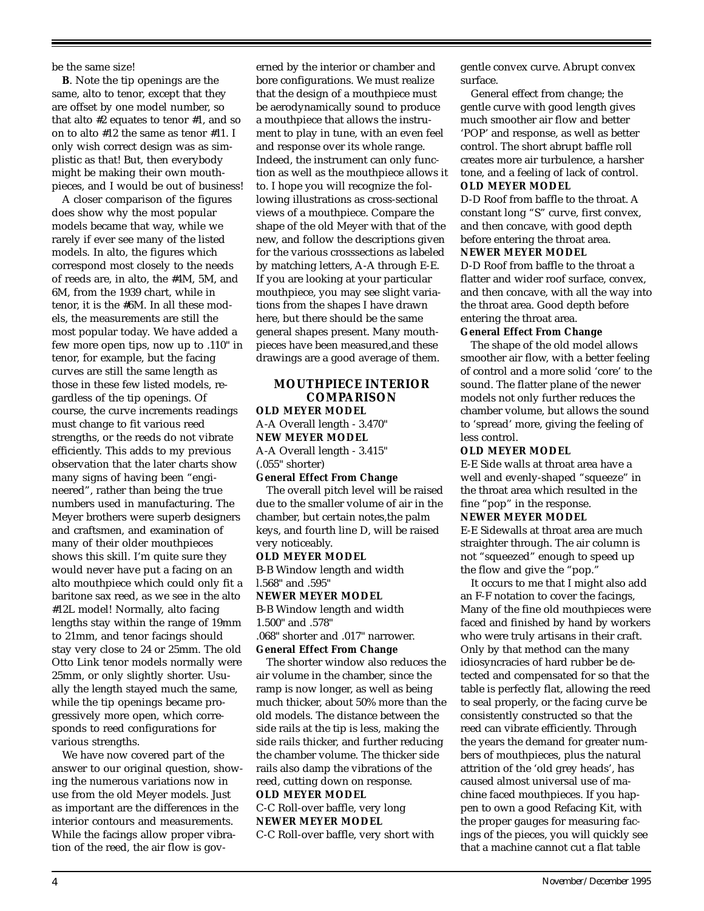be the same size!

**B**. Note the tip openings are the same, alto to tenor, except that they are offset by one model number, so that alto #2 equates to tenor #1, and so on to alto #12 the same as tenor #11. I only wish correct design was as simplistic as that! But, then everybody might be making their own mouthpieces, and I would be out of business!

A closer comparison of the figures does show why the most popular models became that way, while we rarely if ever see many of the listed models. In alto, the figures which correspond most closely to the needs of reeds are, in alto, the #4M, 5M, and 6M, from the 1939 chart, while in tenor, it is the #6M. In all these models, the measurements are still the most popular today. We have added a few more open tips, now up to .110" in tenor, for example, but the facing curves are still the same length as those in these few listed models, regardless of the tip openings. Of course, the curve increments readings must change to fit various reed strengths, or the reeds do not vibrate efficiently. This adds to my previous observation that the later charts show many signs of having been "engineered", rather than being the true numbers used in manufacturing. The Meyer brothers were superb designers and craftsmen, and examination of many of their older mouthpieces shows this skill. I'm quite sure they would never have put a facing on an alto mouthpiece which could only fit a baritone sax reed, as we see in the alto #12L model! Normally, alto facing lengths stay within the range of 19mm to 21mm, and tenor facings should stay very close to 24 or 25mm. The old Otto Link tenor models normally were 25mm, or only slightly shorter. Usually the length stayed much the same, while the tip openings became progressively more open, which corresponds to reed configurations for various strengths.

We have now covered part of the answer to our original question, showing the numerous variations now in use from the old Meyer models. Just as important are the differences in the interior contours and measurements. While the facings allow proper vibration of the reed, the air flow is gov-

erned by the interior or chamber and bore configurations. We must realize that the design of a mouthpiece must be aerodynamically sound to produce a mouthpiece that allows the instrument to play in tune, with an even feel and response over its whole range. Indeed, the instrument can only function as well as the mouthpiece allows it to. I hope you will recognize the following illustrations as cross-sectional views of a mouthpiece. Compare the shape of the old Meyer with that of the new, and follow the descriptions given for the various crosssections as labeled by matching letters, A-A through E-E. If you are looking at your particular mouthpiece, you may see slight variations from the shapes I have drawn here, but there should be the same general shapes present. Many mouthpieces have been measured,and these drawings are a good average of them.

# **MOUTHPIECE INTERIOR COMPARISON**

**OLD MEYER MODEL** A-A Overall length - 3.470" **NEW MEYER MODEL**

A-A Overall length - 3.415" (.055" shorter)

## **General Effect From Change**

The overall pitch level will be raised due to the smaller volume of air in the chamber, but certain notes,the palm keys, and fourth line D, will be raised very noticeably.

## **OLD MEYER MODEL**

B-B Window length and width l.568" and .595"

# **NEWER MEYER MODEL**

B-B Window length and width 1.500" and .578"

.068" shorter and .017" narrower. **General Effect From Change**

The shorter window also reduces the air volume in the chamber, since the ramp is now longer, as well as being much thicker, about 50% more than the old models. The distance between the side rails at the tip is less, making the side rails thicker, and further reducing the chamber volume. The thicker side rails also damp the vibrations of the reed, cutting down on response.

#### **OLD MEYER MODEL**

C-C Roll-over baffle, very long **NEWER MEYER MODEL**

C-C Roll-over baffle, very short with

gentle convex curve. Abrupt convex surface.

General effect from change; the gentle curve with good length gives much smoother air flow and better 'POP' and response, as well as better control. The short abrupt baffle roll creates more air turbulence, a harsher tone, and a feeling of lack of control. **OLD MEYER MODEL**

D-D Roof from baffle to the throat. A constant long "S" curve, first convex, and then concave, with good depth before entering the throat area.

#### **NEWER MEYER MODEL**

D-D Roof from baffle to the throat a flatter and wider roof surface, convex, and then concave, with all the way into the throat area. Good depth before entering the throat area.

## **General Effect From Change**

The shape of the old model allows smoother air flow, with a better feeling of control and a more solid 'core' to the sound. The flatter plane of the newer models not only further reduces the chamber volume, but allows the sound to 'spread' more, giving the feeling of less control.

## **OLD MEYER MODEL**

E-E Side walls at throat area have a well and evenly-shaped "squeeze" in the throat area which resulted in the fine "pop" in the response.

#### **NEWER MEYER MODEL**

E-E Sidewalls at throat area are much straighter through. The air column is not "squeezed" enough to speed up the flow and give the "pop."

It occurs to me that I might also add an F-F notation to cover the facings, Many of the fine old mouthpieces were faced and finished by hand by workers who were truly artisans in their craft. Only by that method can the many idiosyncracies of hard rubber be detected and compensated for so that the table is perfectly flat, allowing the reed to seal properly, or the facing curve be consistently constructed so that the reed can vibrate efficiently. Through the years the demand for greater numbers of mouthpieces, plus the natural attrition of the 'old grey heads', has caused almost universal use of machine faced mouthpieces. If you happen to own a good Refacing Kit, with the proper gauges for measuring facings of the pieces, you will quickly see that a machine cannot cut a flat table